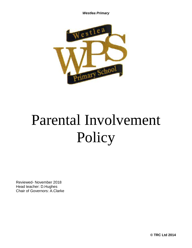

# Parental Involvement Policy

Reviewed- November 2018 Head teacher: D.Hughes Chair of Governors: A.Clarke

**© TRC Ltd 2014**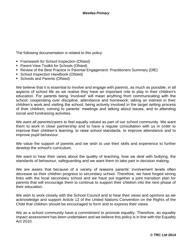The following documentation is related to this policy:

- Framework for School Inspection (Ofsted)
- Parent View Toolkit for Schools (Ofsted)
- Review of the Best Practice in Parental Engagement: Practitioners Summary (DfE)
- School Inspection Handbook (Ofsted)
- Schools and Parents (Ofsted)

We believe that it is essential to involve and engage with parents, as much as possible, in all aspects of school life as we realise they have an important role to play in their children's education. For parents being 'involved' will mean anything from communicating with the school; cooperating over discipline, attendance and homework; taking an interest in their children's work and visiting the school; being actively involved in the target setting process of their children; coming to parents' meetings and talking about issues, and to attending social and fundraising activities.

We want all parents/carers to feel equally valued as part of our school community. We want them to work in close partnership and to have a regular consultation with us in order to improve their children's learning, to raise school standards, to improve attendance and to improve pupil behaviour.

We value the support of parents and we wish to use their skills and experience to further develop the school's curriculum.

We want to hear their views about the quality of teaching, how we deal with bullying, the standards of behaviour, safeguarding and we want them to take part in decision making.

We are aware that because of a variety of reasons parents' involvement levels often decrease as their children progress to secondary school. Therefore, we have forged strong links with the local secondary school and we have put together a joint transition plan for parents that will encourage them to continue to support their children into the next phase of their education.

We wish to work closely with the School Council and to hear their views and opinions as we acknowledge and support Article 12 of the United Nations Convention on the Rights of the Child that children should be encouraged to form and to express their views.

We as a school community have a commitment to promote equality. Therefore, an equality impact assessment has been undertaken and we believe this policy is in line with the Equality Act 2010.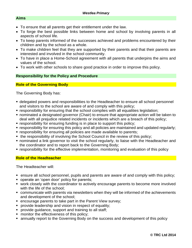#### **Aims**

- To ensure that all parents get their entitlement under the law.
- To forge the best possible links between home and school by involving parents in all aspects of school life.
- To keep parents informed of the successes achieved and problems encountered by their children and by the school as a whole.
- To make children feel that they are supported by their parents and that their parents are interested and involved in the school community.
- To have in place a Home-School agreement with all parents that underpins the aims and values of the school.
- To work with other schools to share good practice in order to improve this policy.

#### **Responsibility for the Policy and Procedure**

#### **Role of the Governing Body**

The Governing Body has:

- delegated powers and responsibilities to the Headteacher to ensure all school personnel and visitors to the school are aware of and comply with this policy;
- **EX** responsibility for ensuring that the school complies with all equalities legislation;
- nominated a designated governor (Chair) to ensure that appropriate action will be taken to deal with all prejudice related incidents or incidents which are a breach of this policy;
- responsibility for ensuring funding is in place to support this policy;
- responsibility for ensuring this policy and all policies are maintained and updated regularly;
- responsibility for ensuring all policies are made available to parents;
- the responsibility of involving the School Council in the review of this policy;
- nominated a link governor to visit the school regularly, to liaise with the Headteacher and the coordinator and to report back to the Governing Body;
- responsibility for the effective implementation, monitoring and evaluation of this policy

#### **Role of the Headteacher**

The Headteacher will:

- ensure all school personnel, pupils and parents are aware of and comply with this policy;
- operate an 'open door' policy for parents;
- work closely with the coordinator to actively encourage parents to become more involved with the life of the school;
- communicate with parents via newsletters when they will be informed of the achievements and development of the school;
- encourage parents to take part in the Parent View survey;
- **•** provide leadership and vision in respect of equality;
- **•** provide guidance, support and training to all staff;
- **•** monitor the effectiveness of this policy;
- annually report to the Governing Body on the success and development of this policy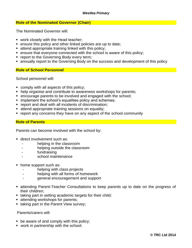#### **Role of the Nominated Governor (Chair)**

The Nominated Governor will:

- work closely with the Head teacher;
- ensure this policy and other linked policies are up to date;
- attend appropriate training linked with this policy;
- ensure that everyone connected with the school is aware of this policy;
- **report to the Governing Body every term;**
- **EX annually report to the Governing Body on the success and development of this policy**

#### **Role of School Personnel**

School personnel will:

- comply with all aspects of this policy;
- help organise and contribute to awareness workshops for parents;
- encourage parents to be involved and engaged with the school;
- **E** implement the school's equalities policy and schemes;
- report and deal with all incidents of discrimination;
- **EXECTE:** attend appropriate training sessions on equality;
- report any concerns they have on any aspect of the school community

#### **Role of Parents**

Parents can become involved with the school by:

- direct involvement such as:
	- helping in the classroom
	- helping outside the classroom
	- fundraising
	- school maintenance
- home support such as:
	- helping with class projects
	- helping with all forms of homework
	- general encouragement and support
- attending Parent-Teacher Consultations to keep parents up to date on the progress of their children;
- taking part in setting academic targets for their child;
- **E** attending workshops for parents;
- **Example 1** taking part in the Parent View survey;

Parents/carers will:

- $\bullet$  be aware of and comply with this policy;
- work in partnership with the school;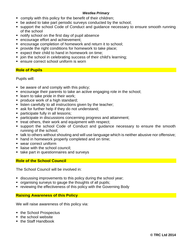- comply with this policy for the benefit of their children;
- be asked to take part periodic surveys conducted by the school;
- support the school Code of Conduct and guidance necessary to ensure smooth running of the school
- notify school on the first day of pupil absence
- encourage effort and achievement;
- encourage completion of homework and return it to school;
- provide the right conditions for homework to take place:
- expect their child to hand in homework on time;
- join the school in celebrating success of their child's learning;
- ensure correct school uniform is worn

#### **Role of Pupils**

Pupils will:

- $\blacksquare$  be aware of and comply with this policy;
- encourage their parents to take an active engaging role in the school;
- learn to take pride in their work;
- **•** produce work of a high standard;
- **EXECT** listen carefully to all instructions given by the teacher;
- ask for further help if they do not understand;
- **participate fully in all lessons;**
- participate in discussions concerning progress and attainment;
- treat others, their work and equipment with respect;
- support the school Code of Conduct and quidance necessary to ensure the smooth running of the school;
- talk to others without shouting and will use language which is neither abusive nor offensive;
- hand in homework properly completed and on time;
- wear correct uniform
- liaise with the school council:
- take part in questionnaires and surveys

#### **Role of the School Council**

The School Council will be involved in:

- **EXEDENT** discussing improvements to this policy during the school year;
- organising surveys to gauge the thoughts of all pupils;
- reviewing the effectiveness of this policy with the Governing Body

#### **Raising Awareness of this Policy**

We will raise awareness of this policy via:

- the School Prospectus
- the school website
- the Staff Handbook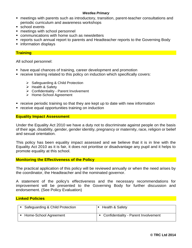- meetings with parents such as introductory, transition, parent-teacher consultations and periodic curriculum and awareness workshops
- school events
- **EXEC** meetings with school personnel
- communications with home such as newsletters
- reports such annual report to parents and Headteacher reports to the Governing Body
- information displays

#### **Training**

All school personnel:

- have equal chances of training, career development and promotion
- receive training related to this policy on induction which specifically covers:
	- ➢ Safeguarding & Child Protection
	- ➢ Health & Safety
	- ➢ Confidentiality Parent Involvement
	- ➢ Home-School Agreement
- receive periodic training so that they are kept up to date with new information
- receive equal opportunities training on induction

#### **Equality Impact Assessment**

Under the Equality Act 2010 we have a duty not to discriminate against people on the basis of their age, disability, gender, gender identity, pregnancy or maternity, race, religion or belief and sexual orientation.

This policy has been equality impact assessed and we believe that it is in line with the Equality Act 2010 as it is fair, it does not prioritise or disadvantage any pupil and it helps to promote equality at this school.

#### **Monitoring the Effectiveness of the Policy**

The practical application of this policy will be reviewed annually or when the need arises by the coordinator, the Headteacher and the nominated governor.

A statement of the policy's effectiveness and the necessary recommendations for improvement will be presented to the Governing Body for further discussion and endorsement. (See Policy Evaluation)

#### **Linked Policies**

| Safeguarding & Child Protection | <b>Health &amp; Safety</b>             |
|---------------------------------|----------------------------------------|
| Home-School Agreement           | • Confidentiality - Parent Involvement |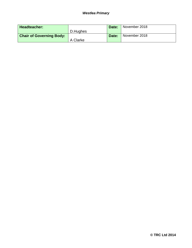| Headteacher:                    |          | Date: | November 2018 |
|---------------------------------|----------|-------|---------------|
|                                 | D.Hughes |       |               |
| <b>Chair of Governing Body:</b> |          | Date: | November 2018 |
|                                 | A Clarke |       |               |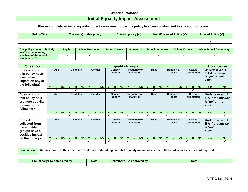## *Westlea Primary* **Initial Equality Impact Assessment**

#### **Please complete an initial equality impact assessment once this policy has been customised to suit your purposes.**

| <b>Policy Title</b> | The aim(s) of this policy | <b>Existing policy (<math>\checkmark</math>)</b> | New/Proposed Policy (✓ | <b>Updated Policy (√</b> |
|---------------------|---------------------------|--------------------------------------------------|------------------------|--------------------------|
|                     |                           |                                                  |                        |                          |

| This policy affects or is likely<br>to affect the following | <b>Pupils</b> | <b>School Personnel</b> | <b>Parents/carers</b> | Governors | <b>School Volunteers</b> | <b>School Visitors</b> | <b>Wider School Community</b> |  |
|-------------------------------------------------------------|---------------|-------------------------|-----------------------|-----------|--------------------------|------------------------|-------------------------------|--|
| members of the school                                       |               |                         |                       |           |                          |                        |                               |  |
| community $(\checkmark)$                                    |               |                         |                       |           |                          |                        |                               |  |

| <b>Question</b>                                                                       |                          | <b>Conclusion</b><br><b>Equality Groups</b> |                   |              |   |                              |   |                    |                                  |                                  |      |           |                              |                             |           |                              |                              |           |                                              |                              |                                              |                                                                           |    |           |            |           |
|---------------------------------------------------------------------------------------|--------------------------|---------------------------------------------|-------------------|--------------|---|------------------------------|---|--------------------|----------------------------------|----------------------------------|------|-----------|------------------------------|-----------------------------|-----------|------------------------------|------------------------------|-----------|----------------------------------------------|------------------------------|----------------------------------------------|---------------------------------------------------------------------------|----|-----------|------------|-----------|
| Does or could<br>this policy have<br>a negative<br>impact on any of<br>the following? |                          | <b>Disability</b><br>Age                    |                   |              |   | Gender                       |   | Gender<br>identity |                                  | Pregnancy or<br>maternity        |      |           | Race                         |                             |           |                              | <b>Religion or</b><br>belief |           |                                              | <b>Sexual</b><br>orientation |                                              | Undertake a full<br><b>EIA if the answer</b><br>is 'yes' or 'not<br>sure' |    |           |            |           |
|                                                                                       |                          | N.<br>✓                                     | <b>NS</b>         |              | N | <b>NS</b>                    |   | N                  | <b>NS</b>                        |                                  | N.   | <b>NS</b> |                              | $\mathbf N$<br>$\checkmark$ | <b>NS</b> |                              | N.<br>✔                      | <b>NS</b> |                                              | N.                           | <b>NS</b>                                    |                                                                           | N  | <b>NS</b> | <b>Yes</b> | <b>No</b> |
| Does or could<br>this policy help<br>promote equality<br>for any of the<br>following? |                          | Age                                         | <b>Disability</b> |              |   | Gender<br>Gender<br>identity |   |                    | <b>Pregnancy or</b><br>maternity |                                  | Race |           | <b>Religion or</b><br>belief |                             |           | Sexual<br>orientation        |                              |           | Undertake a full<br>is 'no' or 'not<br>sure' | <b>EIA if the answer</b>     |                                              |                                                                           |    |           |            |           |
|                                                                                       |                          | N.                                          | <b>NS</b>         | v            | N | <b>NS</b>                    |   | N                  | <b>NS</b>                        |                                  | N.   | <b>NS</b> |                              | $\mathbf N$                 | <b>NS</b> | $\mathbf v$                  | N.                           | <b>NS</b> | Y                                            | N.                           | <b>NS</b>                                    |                                                                           | N. | <b>NS</b> | <b>Yes</b> | <b>No</b> |
|                                                                                       | ✔                        |                                             |                   | $\checkmark$ |   |                              | ✓ |                    |                                  | $\checkmark$                     |      |           | ✓                            |                             |           | ✓                            |                              |           | ✓                                            |                              |                                              | ✓                                                                         |    |           |            |           |
| Does data<br>collected from<br>the equality<br>groups have a<br>positive impact       | <b>Disability</b><br>Age |                                             | Gender            |              |   | Gender<br>identity           |   |                    |                                  | <b>Pregnancy or</b><br>maternity |      |           | Race                         |                             |           | <b>Religion or</b><br>belief |                              |           | <b>Sexual</b><br>orientation                 |                              | Undertake a full<br>is 'no' or 'not<br>sure' | <b>EIA if the answer</b>                                                  |    |           |            |           |
| on this policy?                                                                       |                          | N                                           | <b>NS</b>         |              | N | <b>NS</b>                    |   | N                  | <b>NS</b>                        |                                  | N.   | <b>NS</b> |                              | $\mathbf N$                 | <b>NS</b> |                              | N.                           | <b>NS</b> |                                              | N.                           | <b>NS</b>                                    |                                                                           | N  | <b>NS</b> | <b>Yes</b> | <b>No</b> |
|                                                                                       |                          |                                             |                   | ✓            |   |                              | ✔ |                    |                                  | $\checkmark$                     |      |           | $\checkmark$                 |                             |           |                              |                              |           | ✓                                            |                              |                                              | M                                                                         |    |           |            |           |

**Conclusion We have come to the conclusion that after undertaking an initial equality impact assessment that a full assessment is not required.**

| <b>bv</b><br>completed<br>. .<br><i>reliminary</i><br>-- | Date | 3 m<br>annroveo<br>eliminary<br>. . | Date |
|----------------------------------------------------------|------|-------------------------------------|------|
|                                                          |      |                                     |      |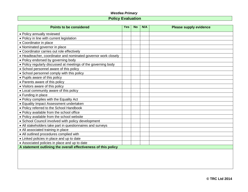## **Policy Evaluation**

| <b>Points to be considered</b>                                 | <b>Yes</b> | <b>No</b> | N/A | <b>Please supply evidence</b> |
|----------------------------------------------------------------|------------|-----------|-----|-------------------------------|
| • Policy annually reviewed                                     |            |           |     |                               |
| • Policy in line with current legislation                      |            |           |     |                               |
| • Coordinator in place                                         |            |           |     |                               |
| • Nominated governor in place                                  |            |           |     |                               |
| • Coordinator carries out role effectively                     |            |           |     |                               |
| • Headteacher, coordinator and nominated governor work closely |            |           |     |                               |
| • Policy endorsed by governing body                            |            |           |     |                               |
| • Policy regularly discussed at meetings of the governing body |            |           |     |                               |
| • School personnel aware of this policy                        |            |           |     |                               |
| • School personnel comply with this policy                     |            |           |     |                               |
| • Pupils aware of this policy                                  |            |           |     |                               |
| • Parents aware of this policy                                 |            |           |     |                               |
| • Visitors aware of this policy                                |            |           |     |                               |
| • Local community aware of this policy                         |            |           |     |                               |
| • Funding in place                                             |            |           |     |                               |
| • Policy complies with the Equality Act                        |            |           |     |                               |
| • Equality Impact Assessment undertaken                        |            |           |     |                               |
| • Policy referred to the School Handbook                       |            |           |     |                               |
| . Policy available from the school office                      |            |           |     |                               |
| • Policy available from the school website                     |            |           |     |                               |
| • School Council involved with policy development              |            |           |     |                               |
| • All stakeholders take part in questionnaires and surveys     |            |           |     |                               |
| • All associated training in place                             |            |           |     |                               |
| • All outlined procedures complied with                        |            |           |     |                               |
| • Linked policies in place and up to date                      |            |           |     |                               |
| • Associated policies in place and up to date                  |            |           |     |                               |
| A statement outlining the overall effectiveness of this policy |            |           |     |                               |
|                                                                |            |           |     |                               |